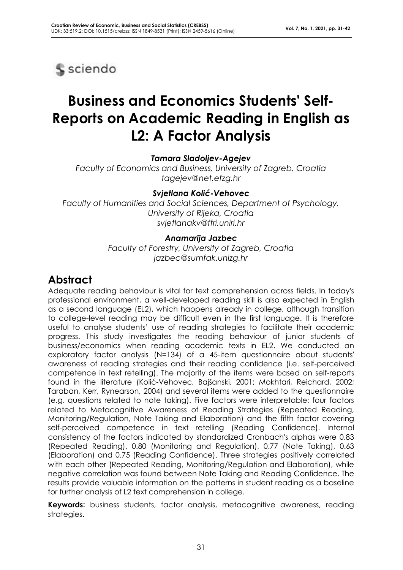

# **Business and Economics Students' Self-Reports on Academic Reading in English as L2: A Factor Analysis**

#### *Tamara Sladoljev-Agejev*

*Faculty of Economics and Business, University of Zagreb, Croatia tagejev@net.efzg.hr*

#### *Svjetlana Kolić-Vehovec*

*Faculty of Humanities and Social Sciences, Department of Psychology, University of Rijeka, Croatia svjetlanakv@ffri.uniri.hr*

#### *Anamarija Jazbec*

*Faculty of Forestry, University of Zagreb, Croatia jazbec@sumfak.unizg.hr*

## **Abstract**

Adequate reading behaviour is vital for text comprehension across fields. In today's professional environment, a well-developed reading skill is also expected in English as a second language (EL2), which happens already in college, although transition to college-level reading may be difficult even in the first language. It is therefore useful to analyse students' use of reading strategies to facilitate their academic progress. This study investigates the reading behaviour of junior students of business/economics when reading academic texts in EL2. We conducted an exploratory factor analysis (N=134) of a 45-item questionnaire about students' awareness of reading strategies and their reading confidence (i.e. self-perceived competence in text retelling). The majority of the items were based on self-reports found in the literature (Kolić-Vehovec, Bajšanski, 2001; Mokhtari, Reichard, 2002; Taraban, Kerr, Rynearson, 2004) and several items were added to the questionnaire (e.g. questions related to note taking). Five factors were interpretable: four factors related to Metacognitive Awareness of Reading Strategies (Repeated Reading, Monitoring/Regulation, Note Taking and Elaboration) and the fifth factor covering self-perceived competence in text retelling (Reading Confidence). Internal consistency of the factors indicated by standardized Cronbach's alphas were 0.83 (Repeated Reading), 0.80 (Monitoring and Regulation), 0.77 (Note Taking), 0.63 (Elaboration) and 0.75 (Reading Confidence). Three strategies positively correlated with each other (Repeated Reading, Monitoring/Regulation and Elaboration), while negative correlation was found between Note Taking and Reading Confidence. The results provide valuable information on the patterns in student reading as a baseline for further analysis of L2 text comprehension in college.

**Keywords:** business students, factor analysis, metacognitive awareness, reading strategies.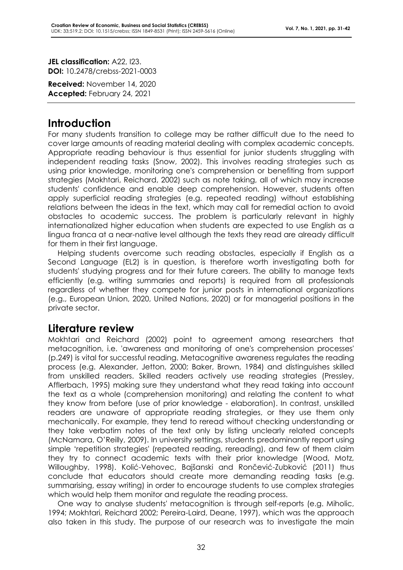**JEL classification:** A22, I23. **DOI:** 10.2478/crebss-2021-0003

**Received:** November 14, 2020 **Accepted:** February 24, 2021

## **Introduction**

For many students transition to college may be rather difficult due to the need to cover large amounts of reading material dealing with complex academic concepts. Appropriate reading behaviour is thus essential for junior students struggling with independent reading tasks (Snow, 2002). This involves reading strategies such as using prior knowledge, monitoring one's comprehension or benefiting from support strategies (Mokhtari, Reichard, 2002) such as note taking, all of which may increase students' confidence and enable deep comprehension. However, students often apply superficial reading strategies (e.g. repeated reading) without establishing relations between the ideas in the text, which may call for remedial action to avoid obstacles to academic success. The problem is particularly relevant in highly internationalized higher education when students are expected to use English as a lingua franca at a near-native level although the texts they read are already difficult for them in their first language.

Helping students overcome such reading obstacles, especially if English as a Second Language (EL2) is in question, is therefore worth investigating both for students' studying progress and for their future careers. The ability to manage texts efficiently (e.g. writing summaries and reports) is required from all professionals regardless of whether they compete for junior posts in international organizations (e.g., European Union, 2020, United Nations, 2020) or for managerial positions in the private sector.

## **Literature review**

Mokhtari and Reichard (2002) point to agreement among researchers that metacognition, i.e. 'awareness and monitoring of one's comprehension processes' (p.249) is vital for successful reading. Metacognitive awareness regulates the reading process (e.g. Alexander, Jetton, 2000; Baker, Brown, 1984) and distinguishes skilled from unskilled readers. Skilled readers actively use reading strategies (Pressley, Afflerbach, 1995) making sure they understand what they read taking into account the text as a whole (comprehension monitoring) and relating the content to what they know from before (use of prior knowledge - elaboration). In contrast, unskilled readers are unaware of appropriate reading strategies, or they use them only mechanically. For example, they tend to reread without checking understanding or they take verbatim notes of the text only by listing unclearly related concepts (McNamara, O'Reilly, 2009). In university settings, students predominantly report using simple 'repetition strategies' (repeated reading, rereading), and few of them claim they try to connect academic texts with their prior knowledge (Wood, Motz, Willoughby, 1998). Kolić-Vehovec, Bajšanski and Rončević-Zubković (2011) thus conclude that educators should create more demanding reading tasks (e.g. summarising, essay writing) in order to encourage students to use complex strategies which would help them monitor and regulate the reading process.

One way to analyse students' metacognition is through self-reports (e.g. Miholic, 1994; Mokhtari, Reichard 2002; Pereira-Laird, Deane, 1997), which was the approach also taken in this study. The purpose of our research was to investigate the main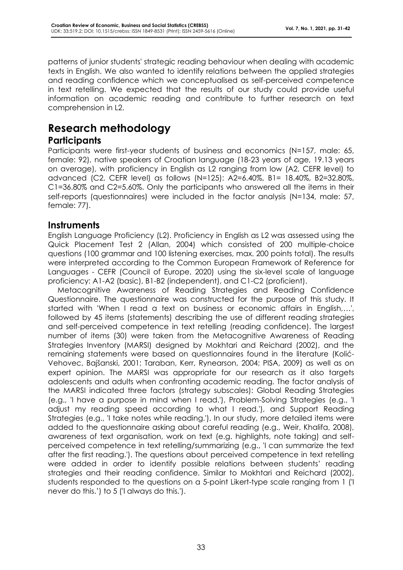patterns of junior students' strategic reading behaviour when dealing with academic texts in English. We also wanted to identify relations between the applied strategies and reading confidence which we conceptualised as self-perceived competence in text retelling. We expected that the results of our study could provide useful information on academic reading and contribute to further research on text comprehension in L2.

## **Research methodology**

#### **Participants**

Participants were first-year students of business and economics (N=157, male: 65, female: 92), native speakers of Croatian language (18-23 years of age, 19.13 years on average), with proficiency in English as L2 ranging from low (A2, CEFR level) to advanced (C2, CEFR level) as follows (N=125): A2=6.40%, B1= 18.40%, B2=32.80%, C1=36.80% and C2=5.60%. Only the participants who answered all the items in their self-reports (questionnaires) were included in the factor analysis (N=134, male: 57, female: 77).

#### **Instruments**

English Language Proficiency (L2). Proficiency in English as L2 was assessed using the Quick Placement Test 2 (Allan, 2004) which consisted of 200 multiple-choice questions (100 grammar and 100 listening exercises, max. 200 points total). The results were interpreted according to the Common European Framework of Reference for Languages - CEFR (Council of Europe, 2020) using the six-level scale of language proficiency: A1-A2 (basic), B1-B2 (independent), and C1-C2 (proficient).

Metacognitive Awareness of Reading Strategies and Reading Confidence Questionnaire. The questionnaire was constructed for the purpose of this study. It started with 'When I read a text on business or economic affairs in English,…', followed by 45 items (statements) describing the use of different reading strategies and self-perceived competence in text retelling (reading confidence). The largest number of items (30) were taken from the Metacognitive Awareness of Reading Strategies Inventory (MARSI) designed by Mokhtari and Reichard (2002), and the remaining statements were based on questionnaires found in the literature (Kolić-Vehovec, Bajšanski, 2001; Taraban, Kerr, Rynearson, 2004; PISA, 2009) as well as on expert opinion. The MARSI was appropriate for our research as it also targets adolescents and adults when confronting academic reading. The factor analysis of the MARSI indicated three factors (strategy subscales): Global Reading Strategies (e.g., 'I have a purpose in mind when I read.'), Problem-Solving Strategies (e.g., 'I adjust my reading speed according to what I read.'), and Support Reading Strategies (e.g., 'I take notes while reading.'). In our study, more detailed items were added to the questionnaire asking about careful reading (e.g., Weir, Khalifa, 2008), awareness of text organisation, work on text (e.g. highlights, note taking) and selfperceived competence in text retelling/summarizing (e.g., 'I can summarize the text after the first reading.'). The questions about perceived competence in text retelling were added in order to identify possible relations between students' reading strategies and their reading confidence. Similar to Mokhtari and Reichard (2002), students responded to the questions on a 5-point Likert-type scale ranging from 1 ('I never do this.') to 5 ('I always do this.').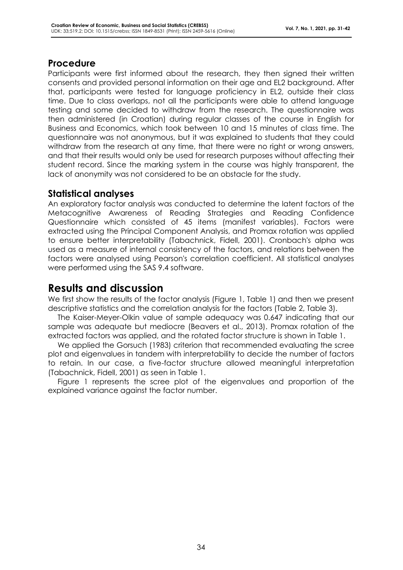#### **Procedure**

Participants were first informed about the research, they then signed their written consents and provided personal information on their age and EL2 background. After that, participants were tested for language proficiency in EL2, outside their class time. Due to class overlaps, not all the participants were able to attend language testing and some decided to withdraw from the research. The questionnaire was then administered (in Croatian) during regular classes of the course in English for Business and Economics, which took between 10 and 15 minutes of class time. The questionnaire was not anonymous, but it was explained to students that they could withdraw from the research at any time, that there were no right or wrong answers, and that their results would only be used for research purposes without affecting their student record. Since the marking system in the course was highly transparent, the lack of anonymity was not considered to be an obstacle for the study.

#### **Statistical analyses**

An exploratory factor analysis was conducted to determine the latent factors of the Metacognitive Awareness of Reading Strategies and Reading Confidence Questionnaire which consisted of 45 items (manifest variables). Factors were extracted using the Principal Component Analysis, and Promax rotation was applied to ensure better interpretability (Tabachnick, Fidell, 2001). Cronbach's alpha was used as a measure of internal consistency of the factors, and relations between the factors were analysed using Pearson's correlation coefficient. All statistical analyses were performed using the SAS 9.4 software.

## **Results and discussion**

We first show the results of the factor analysis (Figure 1, Table 1) and then we present descriptive statistics and the correlation analysis for the factors (Table 2, Table 3).

The Kaiser-Meyer-Olkin value of sample adequacy was 0.647 indicating that our sample was adequate but mediocre (Beavers et al., 2013). Promax rotation of the extracted factors was applied, and the rotated factor structure is shown in Table 1.

We applied the Gorsuch (1983) criterion that recommended evaluating the scree plot and eigenvalues in tandem with interpretability to decide the number of factors to retain. In our case, a five-factor structure allowed meaningful interpretation (Tabachnick, Fidell, 2001) as seen in Table 1.

Figure 1 represents the scree plot of the eigenvalues and proportion of the explained variance against the factor number.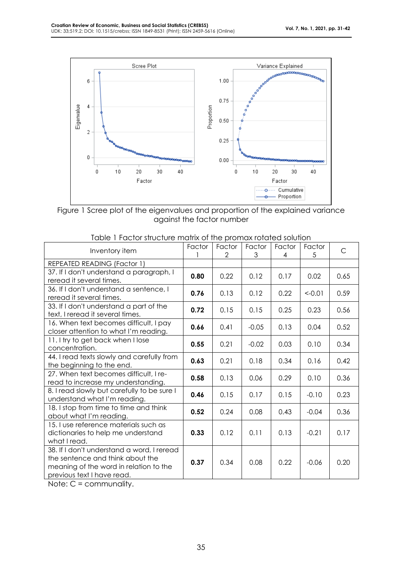

Figure 1 Scree plot of the eigenvalues and proportion of the explained variance against the factor number

| Inventory item                                                                                                                                         | Factor | Factor<br>2 | Factor<br>3 | Factor<br>4 | Factor<br>5 | $\mathsf{C}$ |
|--------------------------------------------------------------------------------------------------------------------------------------------------------|--------|-------------|-------------|-------------|-------------|--------------|
| REPEATED READING (Factor 1)                                                                                                                            |        |             |             |             |             |              |
| 37. If I don't understand a paragraph, I<br>reread it several times.                                                                                   | 0.80   | 0.22        | 0.12        | 0.17        | 0.02        | 0.65         |
| 36. If I don't understand a sentence, I<br>reread it several times.                                                                                    | 0.76   | 0.13        | 0.12        | 0.22        | $< -0.01$   | 0.59         |
| 33. If I don't understand a part of the<br>text, I reread it several times.                                                                            | 0.72   | 0.15        | 0.15        | 0.25        | 0.23        | 0.56         |
| 16. When text becomes difficult, I pay<br>closer attention to what I'm reading.                                                                        | 0.66   | 0.41        | $-0.05$     | 0.13        | 0.04        | 0.52         |
| 11. I try to get back when I lose<br>concentration.                                                                                                    | 0.55   | 0.21        | $-0.02$     | 0.03        | 0.10        | 0.34         |
| 44. I read texts slowly and carefully from<br>the beginning to the end.                                                                                | 0.63   | 0.21        | 0.18        | 0.34        | 0.16        | 0.42         |
| 27. When text becomes difficult, I re-<br>read to increase my understanding.                                                                           | 0.58   | 0.13        | 0.06        | 0.29        | 0.10        | 0.36         |
| 8. I read slowly but carefully to be sure I<br>understand what I'm reading.                                                                            | 0.46   | 0.15        | 0.17        | 0.15        | $-0.10$     | 0.23         |
| 18. I stop from time to time and think<br>about what I'm reading.                                                                                      | 0.52   | 0.24        | 0.08        | 0.43        | $-0.04$     | 0.36         |
| 15. I use reference materials such as<br>dictionaries to help me understand<br>what I read.                                                            | 0.33   | 0.12        | 0.11        | 0.13        | $-0.21$     | 0.17         |
| 38. If I don't understand a word, I reread<br>the sentence and think about the<br>meaning of the word in relation to the<br>previous text I have read. | 0.37   | 0.34        | 0.08        | 0.22        | $-0.06$     | 0.20         |

| Table 1 Factor structure matrix of the promax rotated solution |
|----------------------------------------------------------------|
|----------------------------------------------------------------|

Note: C = communality.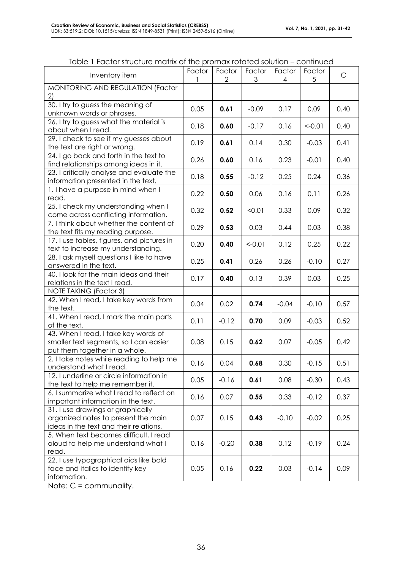| Inventory item                                                                                                     | Factor | Factor<br>2 | Factor<br>3 | Factor<br>4 | Factor<br>5 | $\mathsf{C}$ |
|--------------------------------------------------------------------------------------------------------------------|--------|-------------|-------------|-------------|-------------|--------------|
| MONITORING AND REGULATION (Factor<br>2)                                                                            |        |             |             |             |             |              |
| 30. I try to guess the meaning of<br>unknown words or phrases.                                                     | 0.05   | 0.61        | $-0.09$     | 0.17        | 0.09        | 0.40         |
| 26. I try to guess what the material is<br>about when I read.                                                      | 0.18   | 0.60        | $-0.17$     | 0.16        | $< -0.01$   | 0.40         |
| 29. I check to see if my guesses about<br>the text are right or wrong.                                             | 0.19   | 0.61        | 0.14        | 0.30        | $-0.03$     | 0.41         |
| 24. I go back and forth in the text to<br>find relationships among ideas in it.                                    | 0.26   | 0.60        | 0.16        | 0.23        | $-0.01$     | 0.40         |
| 23. I critically analyse and evaluate the<br>information presented in the text.                                    | 0.18   | 0.55        | $-0.12$     | 0.25        | 0.24        | 0.36         |
| 1. I have a purpose in mind when I<br>read.                                                                        | 0.22   | 0.50        | 0.06        | 0.16        | 0.11        | 0.26         |
| 25. I check my understanding when I<br>come across conflicting information.                                        | 0.32   | 0.52        | < 0.01      | 0.33        | 0.09        | 0.32         |
| 7. I think about whether the content of<br>the text fits my reading purpose.                                       | 0.29   | 0.53        | 0.03        | 0.44        | 0.03        | 0.38         |
| 17. I use tables, figures, and pictures in<br>text to increase my understanding.                                   | 0.20   | 0.40        | $<-0.01$    | 0.12        | 0.25        | 0.22         |
| 28. I ask myself questions I like to have<br>answered in the text.                                                 | 0.25   | 0.41        | 0.26        | 0.26        | $-0.10$     | 0.27         |
| 40. I look for the main ideas and their<br>relations in the text I read.                                           | 0.17   | 0.40        | 0.13        | 0.39        | 0.03        | 0.25         |
| <b>NOTE TAKING (Factor 3)</b>                                                                                      |        |             |             |             |             |              |
| 42. When I read, I take key words from<br>the text.                                                                | 0.04   | 0.02        | 0.74        | $-0.04$     | $-0.10$     | 0.57         |
| 41. When I read, I mark the main parts<br>of the text.                                                             | 0.11   | $-0.12$     | 0.70        | 0.09        | $-0.03$     | 0.52         |
| 43. When I read, I take key words of<br>smaller text segments, so I can easier<br>put them together in a whole.    | 0.08   | 0.15        | 0.62        | 0.07        | $-0.05$     | 0.42         |
| 2. I take notes while reading to help me<br>understand what I read.                                                | 0.16   | 0.04        | 0.68        | 0.30        | $-0.15$     | 0.51         |
| 12. I underline or circle information in<br>the text to help me remember it.                                       | 0.05   | $-0.16$     | 0.61        | 0.08        | $-0.30$     | 0.43         |
| 6. I summarize what I read to reflect on<br>important information in the text.                                     | 0.16   | 0.07        | 0.55        | 0.33        | $-0.12$     | 0.37         |
| 31. I use drawings or graphically<br>organized notes to present the main<br>ideas in the text and their relations. | 0.07   | 0.15        | 0.43        | $-0.10$     | $-0.02$     | 0.25         |
| 5. When text becomes difficult, I read<br>aloud to help me understand what I<br>read.                              | 0.16   | $-0.20$     | 0.38        | 0.12        | $-0.19$     | 0.24         |
| 22. I use typographical aids like bold<br>face and italics to identify key<br>information.                         | 0.05   | 0.16        | 0.22        | 0.03        | $-0.14$     | 0.09         |

Note: C = communality.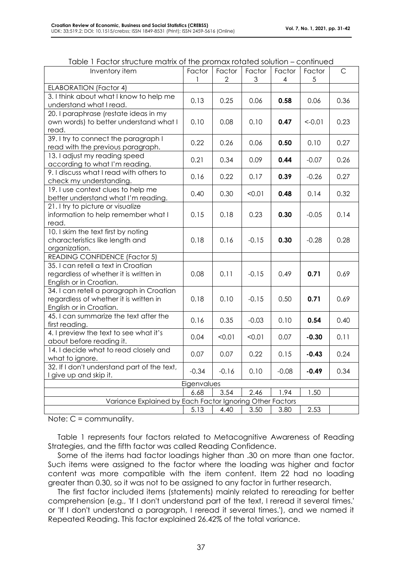| Inventory item                                                                                                | Factor<br>1 | Factor<br>$\mathbf{2}$ | Factor<br>3 | Factor<br>4 | Factor<br>5 | $\mathsf C$ |
|---------------------------------------------------------------------------------------------------------------|-------------|------------------------|-------------|-------------|-------------|-------------|
| <b>ELABORATION (Factor 4)</b>                                                                                 |             |                        |             |             |             |             |
| 3. I think about what I know to help me<br>understand what I read.                                            | 0.13        | 0.25                   | 0.06        | 0.58        | 0.06        | 0.36        |
| 20. I paraphrase (restate ideas in my<br>own words) to better understand what I                               | 0.10        | 0.08                   | 0.10        | 0.47        | $< -0.01$   | 0.23        |
| read.                                                                                                         |             |                        |             |             |             |             |
| 39. I try to connect the paragraph I<br>read with the previous paragraph.                                     | 0.22        | 0.26                   | 0.06        | 0.50        | 0.10        | 0.27        |
| 13. I adjust my reading speed<br>according to what I'm reading.                                               | 0.21        | 0.34                   | 0.09        | 0.44        | $-0.07$     | 0.26        |
| 9. I discuss what I read with others to<br>check my understanding.                                            | 0.16        | 0.22                   | 0.17        | 0.39        | $-0.26$     | 0.27        |
| 19. I use context clues to help me<br>better understand what I'm reading.                                     | 0.40        | 0.30                   | < 0.01      | 0.48        | 0.14        | 0.32        |
| 21. I try to picture or visualize<br>information to help remember what I<br>read.                             | 0.15        | 0.18                   | 0.23        | 0.30        | $-0.05$     | 0.14        |
| 10. I skim the text first by noting<br>characteristics like length and<br>organization.                       | 0.18        | 0.16                   | $-0.15$     | 0.30        | $-0.28$     | 0.28        |
| <b>READING CONFIDENCE (Factor 5)</b>                                                                          |             |                        |             |             |             |             |
| 35. I can retell a text in Croatian<br>regardless of whether it is written in<br>English or in Croatian.      | 0.08        | 0.11                   | $-0.15$     | 0.49        | 0.71        | 0.69        |
| 34. I can retell a paragraph in Croatian<br>regardless of whether it is written in<br>English or in Croatian. | 0.18        | 0.10                   | $-0.15$     | 0.50        | 0.71        | 0.69        |
| 45. I can summarize the text after the<br>first reading.                                                      | 0.16        | 0.35                   | $-0.03$     | 0.10        | 0.54        | 0.40        |
| 4. I preview the text to see what it's<br>about before reading it.                                            | 0.04        | < 0.01                 | < 0.01      | 0.07        | $-0.30$     | 0.11        |
| 14. I decide what to read closely and<br>what to ignore.                                                      | 0.07        | 0.07                   | 0.22        | 0.15        | $-0.43$     | 0.24        |
| 32. If I don't understand part of the text,<br>I give up and skip it.                                         | $-0.34$     | $-0.16$                | 0.10        | $-0.08$     | $-0.49$     | 0.34        |
| Eigenvalues                                                                                                   |             |                        |             |             |             |             |
|                                                                                                               | 6.68        | 3.54                   | 2.46        | 1.94        | 1.50        |             |
| Variance Explained by Each Factor Ignoring Other Factors                                                      |             |                        |             |             |             |             |
|                                                                                                               | 5.13        | 4.40                   | 3.50        | 3.80        | 2.53        |             |

|  | Table 1 Factor structure matrix of the promax rotated solution – continued |
|--|----------------------------------------------------------------------------|
|--|----------------------------------------------------------------------------|

Note: C = communality.

Table 1 represents four factors related to Metacognitive Awareness of Reading Strategies, and the fifth factor was called Reading Confidence.

Some of the items had factor loadings higher than .30 on more than one factor. Such items were assigned to the factor where the loading was higher and factor content was more compatible with the item content. Item 22 had no loading greater than 0.30, so it was not to be assigned to any factor in further research.

The first factor included items (statements) mainly related to rereading for better comprehension (e.g., 'If I don't understand part of the text, I reread it several times.' or 'If I don't understand a paragraph, I reread it several times.'), and we named it Repeated Reading. This factor explained 26.42% of the total variance.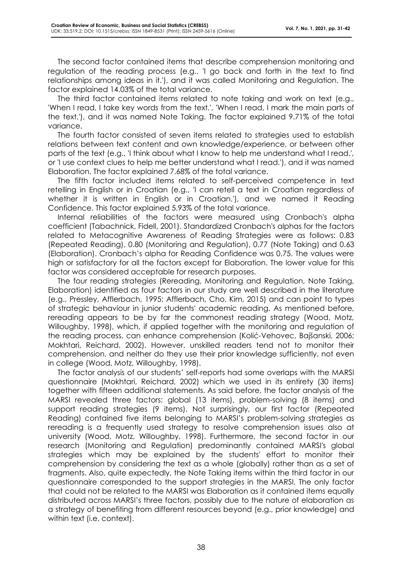The second factor contained items that describe comprehension monitoring and regulation of the reading process (e.g., 'I go back and forth in the text to find relationships among ideas in it.'), and it was called Monitoring and Regulation. The factor explained 14.03% of the total variance.

The third factor contained items related to note taking and work on text (e.g., 'When I read, I take key words from the text.', 'When I read, I mark the main parts of the text.'), and it was named Note Taking. The factor explained 9.71% of the total variance.

The fourth factor consisted of seven items related to strategies used to establish relations between text content and own knowledge/experience, or between other parts of the text (e.g., 'I think about what I know to help me understand what I read.', or 'I use context clues to help me better understand what I read.'), and it was named Elaboration. The factor explained 7.68% of the total variance.

The fifth factor included items related to self-perceived competence in text retelling in English or in Croatian (e.g., 'I can retell a text in Croatian regardless of whether it is written in English or in Croatian.'), and we named it Reading Confidence. This factor explained 5.93% of the total variance.

Internal reliabilities of the factors were measured using Cronbach's alpha coefficient (Tabachnick, Fidell, 2001). Standardized Cronbach's alphas for the factors related to Metacognitive Awareness of Reading Strategies were as follows: 0.83 (Repeated Reading), 0.80 (Monitoring and Regulation), 0.77 (Note Taking) and 0.63 (Elaboration). Cronbach's alpha for Reading Confidence was 0.75. The values were high or satisfactory for all the factors except for Elaboration. The lower value for this factor was considered acceptable for research purposes.

The four reading strategies (Rereading, Monitoring and Regulation, Note Taking, Elaboration) identified as four factors in our study are well described in the literature (e.g., Pressley, Afflerbach, 1995; Afflerbach, Cho, Kim, 2015) and can point to types of strategic behaviour in junior students' academic reading. As mentioned before, rereading appears to be by far the commonest reading strategy (Wood, Motz, Willoughby, 1998), which, if applied together with the monitoring and regulation of the reading process, can enhance comprehension (Kolić-Vehovec, Bajšanski, 2006; Mokhtari, Reichard, 2002). However, unskilled readers tend not to monitor their comprehension, and neither do they use their prior knowledge sufficiently, not even in college (Wood, Motz, Willoughby, 1998).

The factor analysis of our students' self-reports had some overlaps with the MARSI questionnaire (Mokhtari, Reichard, 2002) which we used in its entirety (30 items) together with fifteen additional statements. As said before, the factor analysis of the MARSI revealed three factors: global (13 items), problem-solving (8 items) and support reading strategies (9 items). Not surprisingly, our first factor (Repeated Reading) contained five items belonging to MARSI's problem-solving strategies as rereading is a frequently used strategy to resolve comprehension issues also at university (Wood, Motz, Willoughby, 1998). Furthermore, the second factor in our research (Monitoring and Regulation) predominantly contained MARSI's global strategies which may be explained by the students' effort to monitor their comprehension by considering the text as a whole (globally) rather than as a set of fragments. Also, quite expectedly, the Note Taking items within the third factor in our questionnaire corresponded to the support strategies in the MARSI. The only factor that could not be related to the MARSI was Elaboration as it contained items equally distributed across MARSI's three factors, possibly due to the nature of elaboration as a strategy of benefiting from different resources beyond (e.g., prior knowledge) and within text (i.e. context).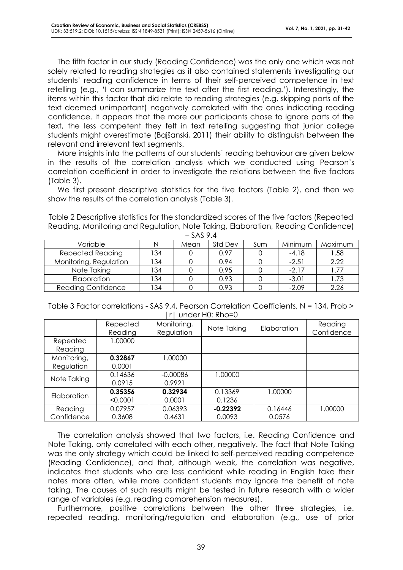The fifth factor in our study (Reading Confidence) was the only one which was not solely related to reading strategies as it also contained statements investigating our students' reading confidence in terms of their self-perceived competence in text retelling (e.g., 'I can summarize the text after the first reading.'). Interestingly, the items within this factor that did relate to reading strategies (e.g. skipping parts of the text deemed unimportant) negatively correlated with the ones indicating reading confidence. It appears that the more our participants chose to ignore parts of the text, the less competent they felt in text retelling suggesting that junior college students might overestimate (Bajšanski, 2011) their ability to distinguish between the relevant and irrelevant text segments.

More insights into the patterns of our students' reading behaviour are given below in the results of the correlation analysis which we conducted using Pearson's correlation coefficient in order to investigate the relations between the five factors (Table 3).

We first present descriptive statistics for the five factors (Table 2), and then we show the results of the correlation analysis (Table 3).

Table 2 Descriptive statistics for the standardized scores of the five factors (Repeated Reading, Monitoring and Regulation, Note Taking, Elaboration, Reading Confidence)  $-$  SAS 9.4

| Variable                  | N   | Mean | Std Dev | Sum | Minimum | Maximum |  |  |
|---------------------------|-----|------|---------|-----|---------|---------|--|--|
| <b>Repeated Reading</b>   | 134 |      | 0.97    |     | $-4.18$ | .58     |  |  |
| Monitoring, Regulation    | 134 |      | 0.94    |     | $-2.51$ | 2.22    |  |  |
| Note Taking               | '34 |      | 0.95    |     | $-2.17$ | .77     |  |  |
| Elaboration               | 134 |      | 0.93    |     | $-3.01$ | .73     |  |  |
| <b>Reading Confidence</b> | 134 |      | 0.93    |     | $-2.09$ | 2.26    |  |  |

| Table 3 Factor correlations - SAS 9.4, Pearson Correlation Coefficients, N = 134, Prob > |  |
|------------------------------------------------------------------------------------------|--|
| Irl under H0: Rho=0                                                                      |  |

|                     | Repeated<br>Reading | Monitoring,<br>Regulation | Note Taking | <b>Elaboration</b> | Reading<br>Confidence |
|---------------------|---------------------|---------------------------|-------------|--------------------|-----------------------|
| Repeated<br>Reading | 1.00000             |                           |             |                    |                       |
| Monitoring,         | 0.32867             | 1.00000                   |             |                    |                       |
| Regulation          | 0.0001              |                           |             |                    |                       |
| Note Taking         | 0.14636             | $-0.00086$                | 1.00000     |                    |                       |
|                     | 0.0915              | 0.9921                    |             |                    |                       |
| Elaboration         | 0.35356             | 0.32934                   | 0.13369     | 1.00000            |                       |
|                     | < 0.0001            | 0.0001                    | 0.1236      |                    |                       |
| Reading             | 0.07957             | 0.06393                   | $-0.22392$  | 0.16446            | 1.00000               |
| Confidence          | 0.3608              | 0.4631                    | 0.0093      | 0.0576             |                       |

The correlation analysis showed that two factors, i.e. Reading Confidence and Note Taking, only correlated with each other, negatively. The fact that Note Taking was the only strategy which could be linked to self-perceived reading competence (Reading Confidence), and that, although weak, the correlation was negative, indicates that students who are less confident while reading in English take their notes more often, while more confident students may ignore the benefit of note taking. The causes of such results might be tested in future research with a wider range of variables (e.g. reading comprehension measures).

Furthermore, positive correlations between the other three strategies, i.e. repeated reading, monitoring/regulation and elaboration (e.g., use of prior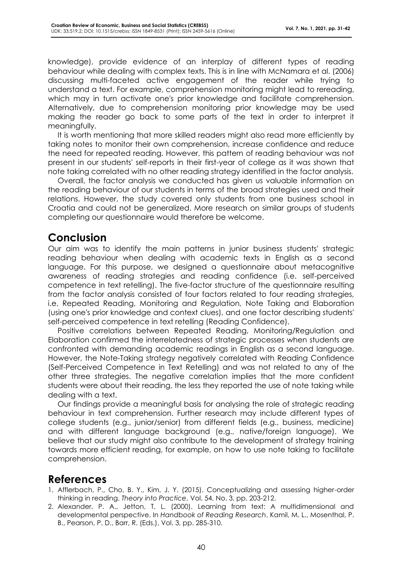knowledge), provide evidence of an interplay of different types of reading behaviour while dealing with complex texts. This is in line with McNamara et al. (2006) discussing multi-faceted active engagement of the reader while trying to understand a text. For example, comprehension monitoring might lead to rereading, which may in turn activate one's prior knowledge and facilitate comprehension. Alternatively, due to comprehension monitoring prior knowledge may be used making the reader go back to some parts of the text in order to interpret it meaningfully.

It is worth mentioning that more skilled readers might also read more efficiently by taking notes to monitor their own comprehension, increase confidence and reduce the need for repeated reading. However, this pattern of reading behaviour was not present in our students' self-reports in their first-year of college as it was shown that note taking correlated with no other reading strategy identified in the factor analysis.

Overall, the factor analysis we conducted has given us valuable information on the reading behaviour of our students in terms of the broad strategies used and their relations. However, the study covered only students from one business school in Croatia and could not be generalized. More research on similar groups of students completing our questionnaire would therefore be welcome.

### **Conclusion**

Our aim was to identify the main patterns in junior business students' strategic reading behaviour when dealing with academic texts in English as a second language. For this purpose, we designed a questionnaire about metacognitive awareness of reading strategies and reading confidence (i.e. self-perceived competence in text retelling). The five-factor structure of the questionnaire resulting from the factor analysis consisted of four factors related to four reading strategies, i.e. Repeated Reading, Monitoring and Regulation, Note Taking and Elaboration (using one's prior knowledge and context clues), and one factor describing students' self-perceived competence in text retelling (Reading Confidence).

Positive correlations between Repeated Reading, Monitoring/Regulation and Elaboration confirmed the interrelatedness of strategic processes when students are confronted with demanding academic readings in English as a second language. However, the Note-Taking strategy negatively correlated with Reading Confidence (Self-Perceived Competence in Text Retelling) and was not related to any of the other three strategies. The negative correlation implies that the more confident students were about their reading, the less they reported the use of note taking while dealing with a text.

Our findings provide a meaningful basis for analysing the role of strategic reading behaviour in text comprehension. Further research may include different types of college students (e.g., junior/senior) from different fields (e.g., business, medicine) and with different language background (e.g., native/foreign language). We believe that our study might also contribute to the development of strategy training towards more efficient reading, for example, on how to use note taking to facilitate comprehension.

## **References**

- 1. Afflerbach, P., Cho, B. Y., Kim, J. Y. (2015). Conceptualizing and assessing higher-order thinking in reading. *Theory into Practice*, Vol. 54, No. 3, pp. 203-212.
- 2. Alexander, P. A., Jetton, T. L. (2000). Learning from text: A multidimensional and developmental perspective. In *Handbook of Reading Research*, Kamil, M. L., Mosenthal, P. B., Pearson, P. D., Barr, R. (Eds.), Vol. 3, pp. 285-310.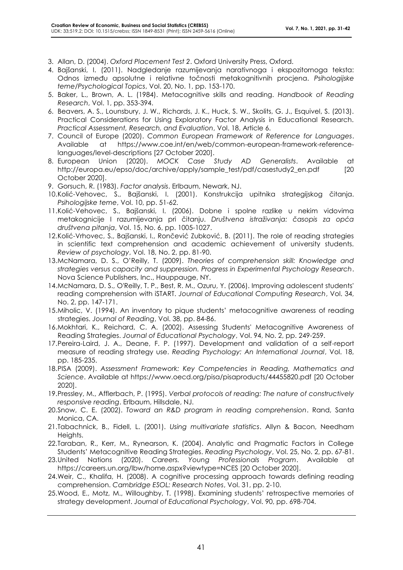- 3. Allan, D. (2004). *Oxford Placement Test 2*. Oxford University Press, Oxford.
- 4. Bajšanski, I. (2011). Nadgledanje razumijevanja narativnoga i ekspozitornoga teksta: Odnos između apsolutne i relativne točnosti metakognitivnih procjena. *Psihologijske teme/Psychological Topics*, Vol. 20, No. 1, pp. 153-170.
- 5. Baker, L., Brown, A. L. (1984). Metacognitive skills and reading. *Handbook of Reading Research*, Vol. 1, pp. 353-394.
- 6. Beavers, A. S., Lounsbury, J. W., Richards, J. K., Huck, S. W., Skolits, G. J., Esquivel, S. (2013). Practical Considerations for Using Exploratory Factor Analysis in Educational Research. *Practical Assessment, Research, and Evaluation*, Vol. 18, Article 6.
- 7. Council of Europe (2020). *Common European Framework of Reference for Languages*. Available at https://www.coe.int/en/web/common-european-framework-referencelanguages/level-descriptions [27 October 2020].
- 8. European Union (2020). *MOCK Case Study AD Generalists*. Available at http://europa.eu/epso/doc/archive/apply/sample\_test/pdf/casestudy2\_en.pdf [20 October 2020].
- 9. Gorsuch, R. (1983). *Factor analysis*. Erlbaum, Newark, NJ.
- 10.Kolić-Vehovec, S., Bajšanski, I. (2001). Konstrukcija upitnika strategijskog čitanja. *Psihologijske teme*, Vol. 10, pp. 51-62.
- 11.Kolić-Vehovec, S., Bajšanski, I. (2006). Dobne i spolne razlike u nekim vidovima metakognicije I razumijevanja pri čitanju. *Društvena istraživanja: časopis za opća društvena pitanja*, Vol. 15, No. 6, pp. 1005-1027.
- 12.Kolić-Vrhovec, S., Bajšanski, I., Rončević Zubković, B. (2011). The role of reading strategies in scientific text comprehension and academic achievement of university students. *Review of psychology*, Vol. 18, No. 2, pp. 81-90.
- 13.McNamara, D. S., O'Reilly, T. (2009). *Theories of comprehension skill: Knowledge and strategies versus capacity and suppression. Progress in Experimental Psychology Research*. Nova Science Publishers, Inc., Hauppauge, NY.
- 14.McNamara, D. S., O'Reilly, T. P., Best, R. M., Ozuru, Y. (2006). Improving adolescent students' reading comprehension with iSTART. *Journal of Educational Computing Research*, Vol. 34, No. 2, pp. 147-171.
- 15.Miholic, V. (1994). An inventory to pique students' metacognitive awareness of reading strategies. *Journal of Reading*, Vol. 38, pp. 84-86.
- 16.Mokhtari, K., Reichard, C. A. (2002). Assessing Students' Metacognitive Awareness of Reading Strategies. *Journal of Educational Psychology*, Vol. 94, No. 2, pp. 249-259.
- 17.Pereira-Laird, J. A., Deane, F. P. (1997). Development and validation of a self-report measure of reading strategy use. *Reading Psychology: An International Journal*, Vol. 18, pp. 185-235.
- 18.PISA (2009). *Assessment Framework: Key Competencies in Reading, Mathematics and Science*. Available at https://www.oecd.org/pisa/pisaproducts/44455820.pdf [20 October 2020].
- 19.Pressley, M., Afflerbach, P. (1995). *Verbal protocols of reading: The nature of constructively responsive reading*. Erlbaum, Hillsdale, NJ.
- 20.Snow, C. E. (2002). *Toward an R&D program in reading comprehension*. Rand, Santa Monica, CA.
- 21.Tabachnick, B., Fidell, L. (2001). *Using multivariate statistics*. Allyn & Bacon, Needham Heights.
- 22.Taraban, R., Kerr, M., Rynearson, K. (2004). Analytic and Pragmatic Factors in College Students' Metacognitive Reading Strategies. *Reading Psychology*, Vol. 25, No. 2, pp. 67-81.
- 23.United Nations (2020). *Careers. Young Professionals Program*. Available at https://careers.un.org/lbw/home.aspx?viewtype=NCES [20 October 2020].
- 24.Weir, C., Khalifa, H. (2008). A cognitive processing approach towards defining reading comprehension. *Cambridge ESOL: Research Notes*, Vol. 31, pp. 2-10.
- 25.Wood, E., Motz, M., Willoughby, T. (1998). Examining students' retrospective memories of strategy development. *Journal of Educational Psychology*, Vol. 90, pp. 698-704.